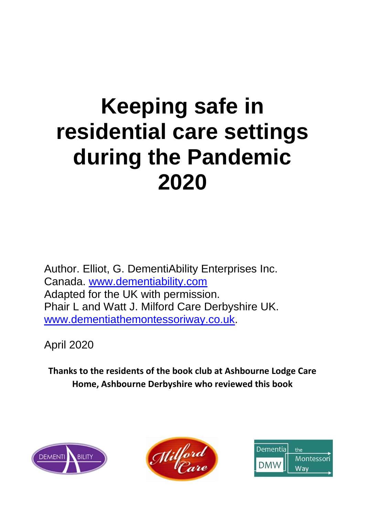# **Keeping safe in residential care settings during the Pandemic 2020**

Author. Elliot, G. DementiAbility Enterprises Inc. Canada. [www.dementiability.com](http://www.dementiability.com/) Adapted for the UK with permission. Phair L and Watt J. Milford Care Derbyshire UK. [www.dementiathemontessoriway.co.uk.](http://www.dementiathemontessoriway.co.uk/)

April 2020

**Thanks to the residents of the book club at Ashbourne Lodge Care Home, Ashbourne Derbyshire who reviewed this book**





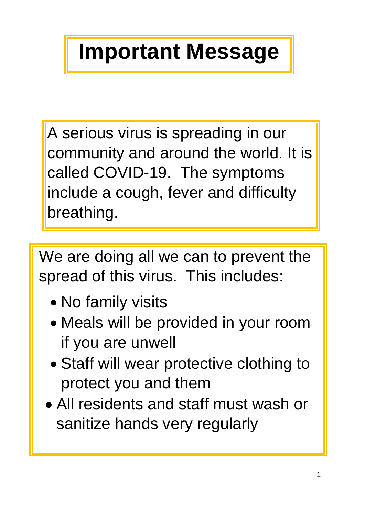# **Important Message**

A serious virus is spreading in our community and around the world. It is called COVID-19. The symptoms include a cough, fever and difficulty breathing.

We are doing all we can to prevent the spread of this virus. This includes:

- No family visits
- Meals will be provided in your room if you are unwell
- Staff will wear protective clothing to protect you and them
- All residents and staff must wash or sanitize hands very regularly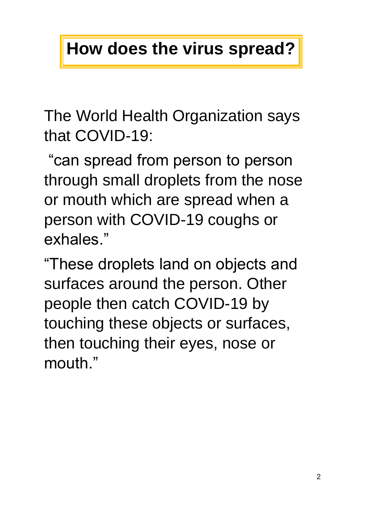## **How does the virus spread?**

The World Health Organization says that COVID-19:

"can spread from person to person through small droplets from the nose or mouth which are spread when a person with COVID-19 coughs or exhales."

"These droplets land on objects and surfaces around the person. Other people then catch COVID-19 by touching these objects or surfaces, then touching their eyes, nose or mouth."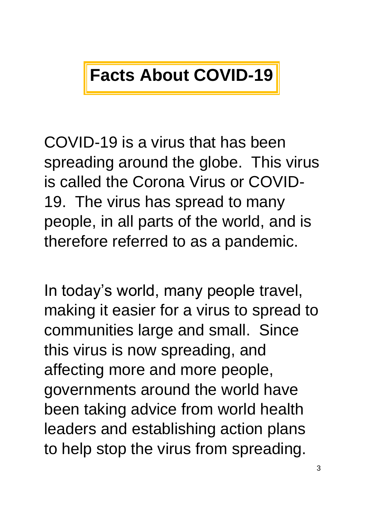## **Facts About COVID-19**

COVID-19 is a virus that has been spreading around the globe. This virus is called the Corona Virus or COVID-19. The virus has spread to many people, in all parts of the world, and is therefore referred to as a pandemic.

In today's world, many people travel, making it easier for a virus to spread to communities large and small. Since this virus is now spreading, and affecting more and more people, governments around the world have been taking advice from world health leaders and establishing action plans to help stop the virus from spreading.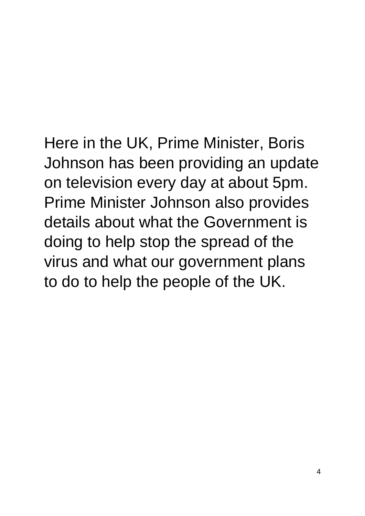#### Here in the UK, Prime Minister, Boris Johnson has been providing an update on television every day at about 5pm. Prime Minister Johnson also provides details about what the Government is doing to help stop the spread of the virus and what our government plans to do to help the people of the UK.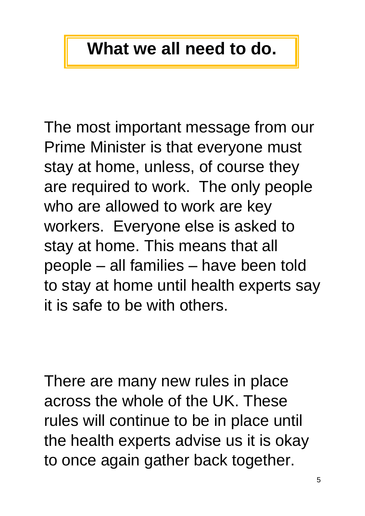### **What we all need to do.**

The most important message from our Prime Minister is that everyone must stay at home, unless, of course they are required to work. The only people who are allowed to work are key workers. Everyone else is asked to stay at home. This means that all people – all families – have been told to stay at home until health experts say it is safe to be with others.

There are many new rules in place across the whole of the UK. These rules will continue to be in place until the health experts advise us it is okay to once again gather back together.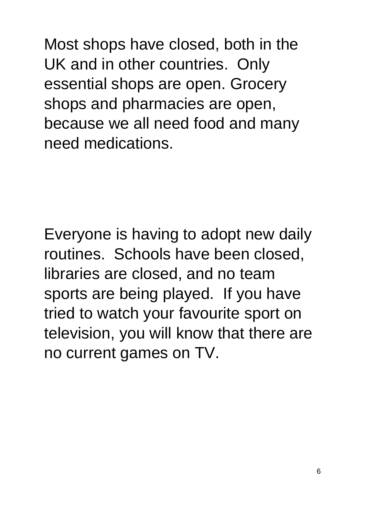Most shops have closed, both in the UK and in other countries. Only essential shops are open. Grocery shops and pharmacies are open, because we all need food and many need medications.

Everyone is having to adopt new daily routines. Schools have been closed, libraries are closed, and no team sports are being played. If you have tried to watch your favourite sport on television, you will know that there are no current games on TV.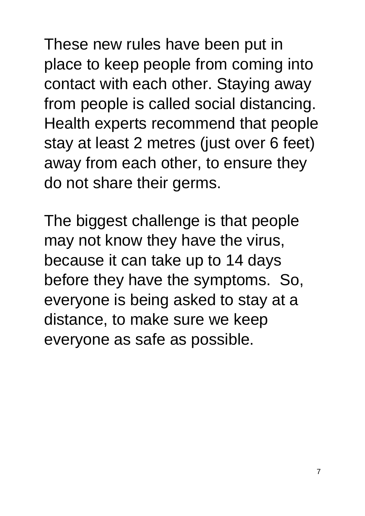These new rules have been put in place to keep people from coming into contact with each other. Staying away from people is called social distancing. Health experts recommend that people stay at least 2 metres (just over 6 feet) away from each other, to ensure they do not share their germs.

The biggest challenge is that people may not know they have the virus, because it can take up to 14 days before they have the symptoms. So, everyone is being asked to stay at a distance, to make sure we keep everyone as safe as possible.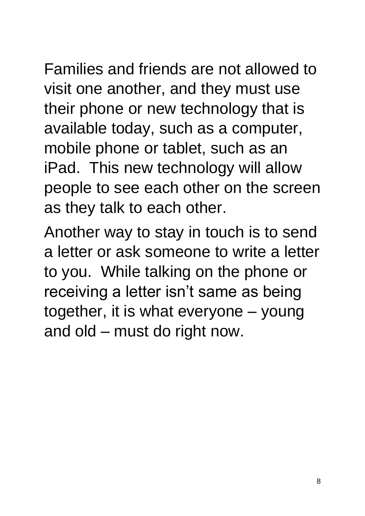Families and friends are not allowed to visit one another, and they must use their phone or new technology that is available today, such as a computer, mobile phone or tablet, such as an iPad. This new technology will allow

people to see each other on the screen as they talk to each other.

Another way to stay in touch is to send a letter or ask someone to write a letter to you. While talking on the phone or receiving a letter isn't same as being together, it is what everyone – young and old – must do right now.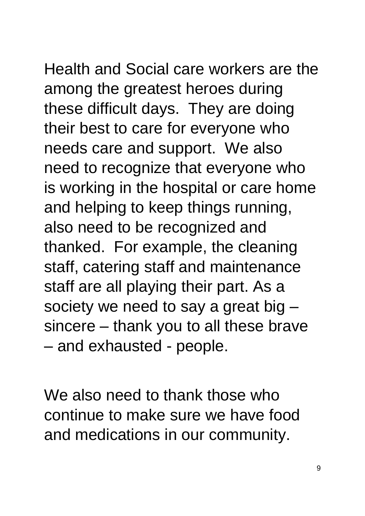Health and Social care workers are the among the greatest heroes during these difficult days. They are doing their best to care for everyone who needs care and support. We also need to recognize that everyone who is working in the hospital or care home and helping to keep things running, also need to be recognized and thanked. For example, the cleaning staff, catering staff and maintenance staff are all playing their part. As a society we need to say a great big – sincere – thank you to all these brave – and exhausted - people.

We also need to thank those who continue to make sure we have food and medications in our community.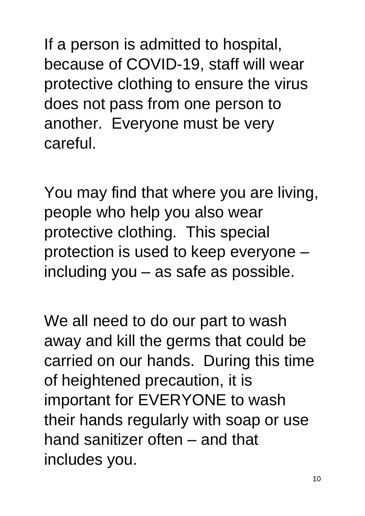If a person is admitted to hospital, because of COVID-19, staff will wear protective clothing to ensure the virus does not pass from one person to another. Everyone must be very careful.

You may find that where you are living, people who help you also wear protective clothing. This special protection is used to keep everyone – including you – as safe as possible.

We all need to do our part to wash away and kill the germs that could be carried on our hands. During this time of heightened precaution, it is important for EVERYONE to wash their hands regularly with soap or use hand sanitizer often – and that includes you.